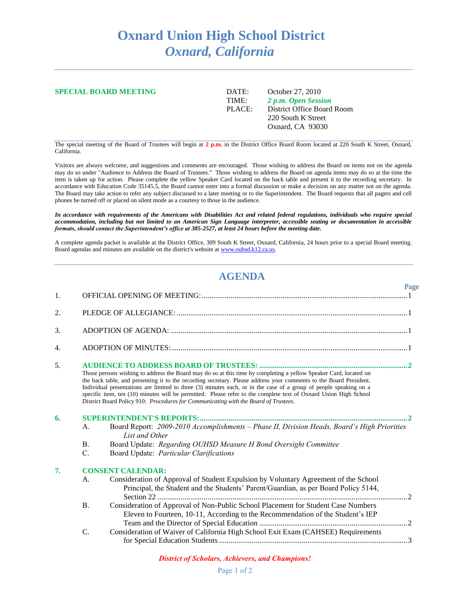# **Oxnard Union High School District** *Oxnard, California*

#### **SPECIAL BOARD MEETING** DATE: October 27, 2010

TIME: *2 p.m. Open Session* PLACE: District Office Board Room 220 South K Street Oxnard, CA 93030

Page

The special meeting of the Board of Trustees will begin at **2 p.m.** in the District Office Board Room located at 220 South K Street, Oxnard, California.

Visitors are always welcome, and suggestions and comments are encouraged. Those wishing to address the Board on items not on the agenda may do so under "Audience to Address the Board of Trustees." Those wishing to address the Board on agenda items may do so at the time the item is taken up for action. Please complete the yellow Speaker Card located on the back table and present it to the recording secretary. In accordance with Education Code 35145.5, the Board cannot enter into a formal discussion or make a decision on any matter not on the agenda. The Board may take action to refer any subject discussed to a later meeting or to the Superintendent. The Board requests that all pagers and cell phones be turned off or placed on silent mode as a courtesy to those in the audience.

*In accordance with requirements of the Americans with Disabilities Act and related federal regulations, individuals who require special accommodation, including but not limited to an American Sign Language interpreter, accessible seating or documentation in accessible formats, should contact the Superintendent's office at 385-2527, at least 24 hours before the meeting date.* 

A complete agenda packet is available at the District Office, 309 South K Street, Oxnard, California, 24 hours prior to a special Board meeting. Board agendas and minutes are available on the district's website a[t www.ouhsd.k12.ca.us.](http://www.ouhsd.k12.ca.us/)

## **AGENDA**

| Those persons wishing to address the Board may do so at this time by completing a yellow Speaker Card, located on<br>the back table, and presenting it to the recording secretary. Please address your comments to the Board President.<br>Individual presentations are limited to three (3) minutes each, or in the case of a group of people speaking on a<br>specific item, ten (10) minutes will be permitted. Please refer to the complete text of Oxnard Union High School<br>District Board Policy 910: Procedures for Communicating with the Board of Trustees. |                                                                                                                                                                                                                                                                                                                                                                                                                                         |                                                                                                                         |  |
|-------------------------------------------------------------------------------------------------------------------------------------------------------------------------------------------------------------------------------------------------------------------------------------------------------------------------------------------------------------------------------------------------------------------------------------------------------------------------------------------------------------------------------------------------------------------------|-----------------------------------------------------------------------------------------------------------------------------------------------------------------------------------------------------------------------------------------------------------------------------------------------------------------------------------------------------------------------------------------------------------------------------------------|-------------------------------------------------------------------------------------------------------------------------|--|
| $\mathsf{A}$ .<br>$\mathbf{B}$ .<br>C.                                                                                                                                                                                                                                                                                                                                                                                                                                                                                                                                  | List and Other<br>Board Update: Regarding OUHSD Measure H Bond Oversight Committee<br>Board Update: Particular Clarifications                                                                                                                                                                                                                                                                                                           |                                                                                                                         |  |
| $\mathsf{A}$ .<br><b>B.</b><br>C.                                                                                                                                                                                                                                                                                                                                                                                                                                                                                                                                       | Consideration of Approval of Student Expulsion by Voluntary Agreement of the School<br>Principal, the Student and the Students' Parent/Guardian, as per Board Policy 5144,<br>Consideration of Approval of Non-Public School Placement for Student Case Numbers<br>Eleven to Fourteen, 10-11, According to the Recommendation of the Student's IEP<br>Consideration of Waiver of California High School Exit Exam (CAHSEE) Requirements |                                                                                                                         |  |
|                                                                                                                                                                                                                                                                                                                                                                                                                                                                                                                                                                         |                                                                                                                                                                                                                                                                                                                                                                                                                                         | Board Report: 2009-2010 Accomplishments - Phase II, Division Heads, Board's High Priorities<br><b>CONSENT CALENDAR:</b> |  |

### *District of Scholars, Achievers, and Champions!*